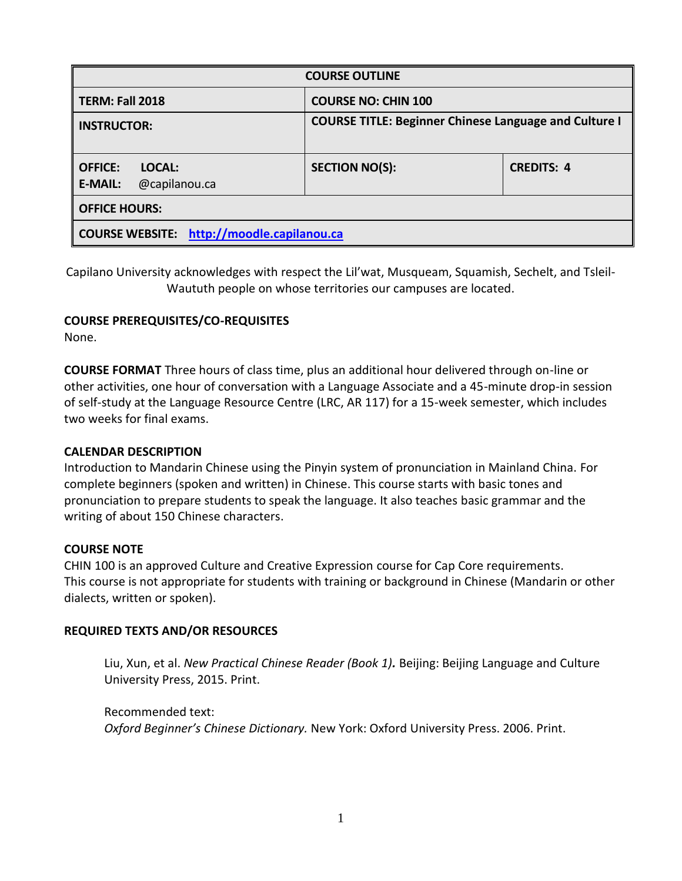| <b>COURSE OUTLINE</b>                                       |                                                              |                   |  |  |  |
|-------------------------------------------------------------|--------------------------------------------------------------|-------------------|--|--|--|
| TERM: Fall 2018                                             | <b>COURSE NO: CHIN 100</b>                                   |                   |  |  |  |
| <b>INSTRUCTOR:</b>                                          | <b>COURSE TITLE: Beginner Chinese Language and Culture I</b> |                   |  |  |  |
| <b>OFFICE:</b><br>LOCAL:<br><b>E-MAIL:</b><br>@capilanou.ca | <b>SECTION NO(S):</b>                                        | <b>CREDITS: 4</b> |  |  |  |
| <b>OFFICE HOURS:</b>                                        |                                                              |                   |  |  |  |
| <b>COURSE WEBSITE:</b> http://moodle.capilanou.ca           |                                                              |                   |  |  |  |

Capilano University acknowledges with respect the Lil'wat, Musqueam, Squamish, Sechelt, and Tsleil-Waututh people on whose territories our campuses are located.

# **COURSE PREREQUISITES/CO-REQUISITES**

None.

**COURSE FORMAT** Three hours of class time, plus an additional hour delivered through on-line or other activities, one hour of conversation with a Language Associate and a 45-minute drop-in session of self-study at the Language Resource Centre (LRC, AR 117) for a 15-week semester, which includes two weeks for final exams.

# **CALENDAR DESCRIPTION**

Introduction to Mandarin Chinese using the Pinyin system of pronunciation in Mainland China. For complete beginners (spoken and written) in Chinese. This course starts with basic tones and pronunciation to prepare students to speak the language. It also teaches basic grammar and the writing of about 150 Chinese characters.

# **COURSE NOTE**

CHIN 100 is an approved Culture and Creative Expression course for Cap Core requirements. This course is not appropriate for students with training or background in Chinese (Mandarin or other dialects, written or spoken).

# **REQUIRED TEXTS AND/OR RESOURCES**

Liu, Xun, et al. *New Practical Chinese Reader (Book 1).* Beijing: Beijing Language and Culture University Press, 2015. Print.

Recommended text: *Oxford Beginner's Chinese Dictionary.* New York: Oxford University Press. 2006. Print.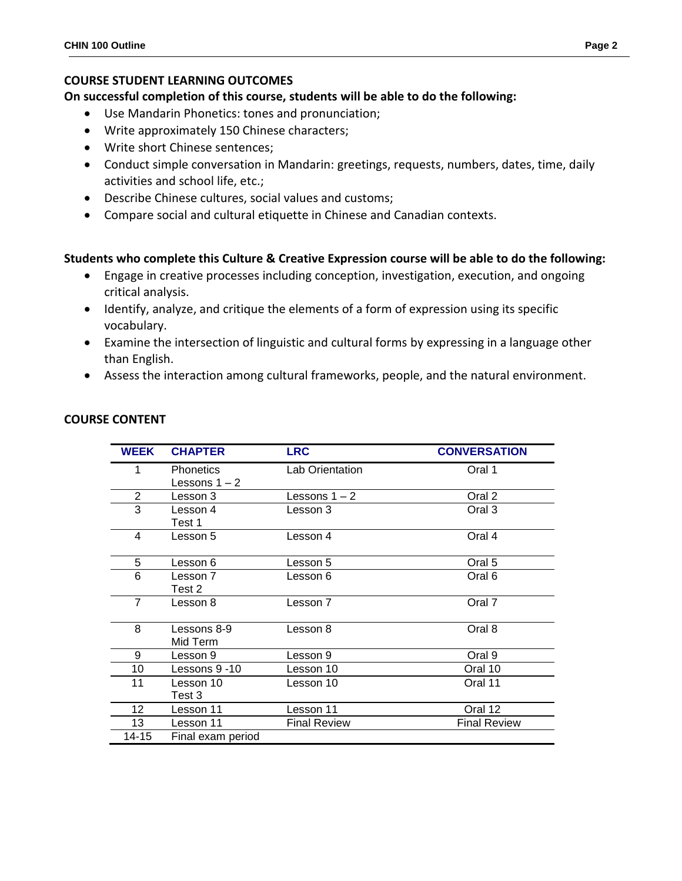### **COURSE STUDENT LEARNING OUTCOMES**

**On successful completion of this course, students will be able to do the following:**

- Use Mandarin Phonetics: tones and pronunciation;
- Write approximately 150 Chinese characters;
- Write short Chinese sentences;
- Conduct simple conversation in Mandarin: greetings, requests, numbers, dates, time, daily activities and school life, etc.;
- Describe Chinese cultures, social values and customs;
- Compare social and cultural etiquette in Chinese and Canadian contexts.

### **Students who complete this Culture & Creative Expression course will be able to do the following:**

- Engage in creative processes including conception, investigation, execution, and ongoing critical analysis.
- Identify, analyze, and critique the elements of a form of expression using its specific vocabulary.
- Examine the intersection of linguistic and cultural forms by expressing in a language other than English.
- Assess the interaction among cultural frameworks, people, and the natural environment.

| <b>WEEK</b>     | <b>CHAPTER</b>                      | <b>LRC</b>          | <b>CONVERSATION</b> |
|-----------------|-------------------------------------|---------------------|---------------------|
| 1               | <b>Phonetics</b><br>Lessons $1 - 2$ | Lab Orientation     | Oral 1              |
| $\overline{2}$  | Lesson 3                            | Lessons $1 - 2$     | Oral 2              |
| 3               | Lesson 4<br>Test 1                  | Lesson 3            | Oral 3              |
| 4               | Lesson 5                            | Lesson 4            | Oral 4              |
| 5               | Lesson 6                            | Lesson 5            | Oral 5              |
| 6               | Lesson 7<br>Test 2                  | Lesson 6            | Oral 6              |
| $\overline{7}$  | Lesson 8                            | Lesson 7            | Oral 7              |
| 8               | Lessons 8-9<br>Mid Term             | Lesson 8            | Oral 8              |
| 9               | Lesson 9                            | Lesson 9            | Oral 9              |
| 10              | Lessons 9 -10                       | Lesson 10           | Oral 10             |
| 11              | Lesson 10<br>Test 3                 | Lesson 10           | Oral 11             |
| 12 <sub>2</sub> | Lesson 11                           | Lesson 11           | Oral 12             |
| 13              | Lesson 11                           | <b>Final Review</b> | <b>Final Review</b> |
| 14-15           | Final exam period                   |                     |                     |

### **COURSE CONTENT**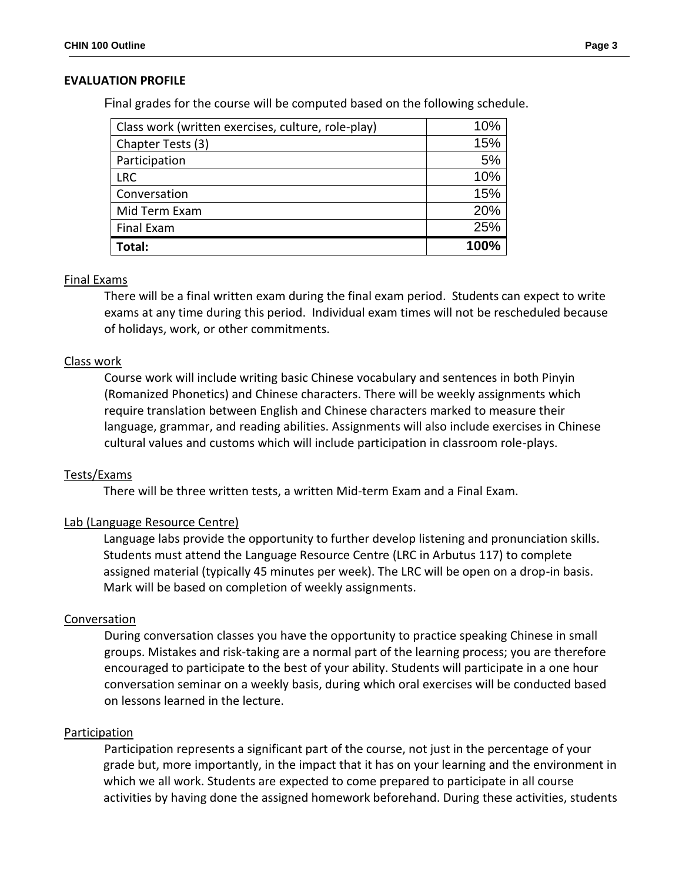### **EVALUATION PROFILE**

Final grades for the course will be computed based on the following schedule.

| Class work (written exercises, culture, role-play) | 10%  |
|----------------------------------------------------|------|
| Chapter Tests (3)                                  | 15%  |
| Participation                                      | 5%   |
| <b>LRC</b>                                         | 10%  |
| Conversation                                       | 15%  |
| Mid Term Exam                                      | 20%  |
| <b>Final Exam</b>                                  | 25%  |
| Total:                                             | 100% |

#### Final Exams

There will be a final written exam during the final exam period. Students can expect to write exams at any time during this period. Individual exam times will not be rescheduled because of holidays, work, or other commitments.

#### Class work

Course work will include writing basic Chinese vocabulary and sentences in both Pinyin (Romanized Phonetics) and Chinese characters. There will be weekly assignments which require translation between English and Chinese characters marked to measure their language, grammar, and reading abilities. Assignments will also include exercises in Chinese cultural values and customs which will include participation in classroom role-plays.

#### Tests/Exams

There will be three written tests, a written Mid-term Exam and a Final Exam.

#### Lab (Language Resource Centre)

 Language labs provide the opportunity to further develop listening and pronunciation skills. Students must attend the Language Resource Centre (LRC in Arbutus 117) to complete assigned material (typically 45 minutes per week). The LRC will be open on a drop-in basis. Mark will be based on completion of weekly assignments.

#### Conversation

During conversation classes you have the opportunity to practice speaking Chinese in small groups. Mistakes and risk-taking are a normal part of the learning process; you are therefore encouraged to participate to the best of your ability. Students will participate in a one hour conversation seminar on a weekly basis, during which oral exercises will be conducted based on lessons learned in the lecture.

#### **Participation**

Participation represents a significant part of the course, not just in the percentage of your grade but, more importantly, in the impact that it has on your learning and the environment in which we all work. Students are expected to come prepared to participate in all course activities by having done the assigned homework beforehand. During these activities, students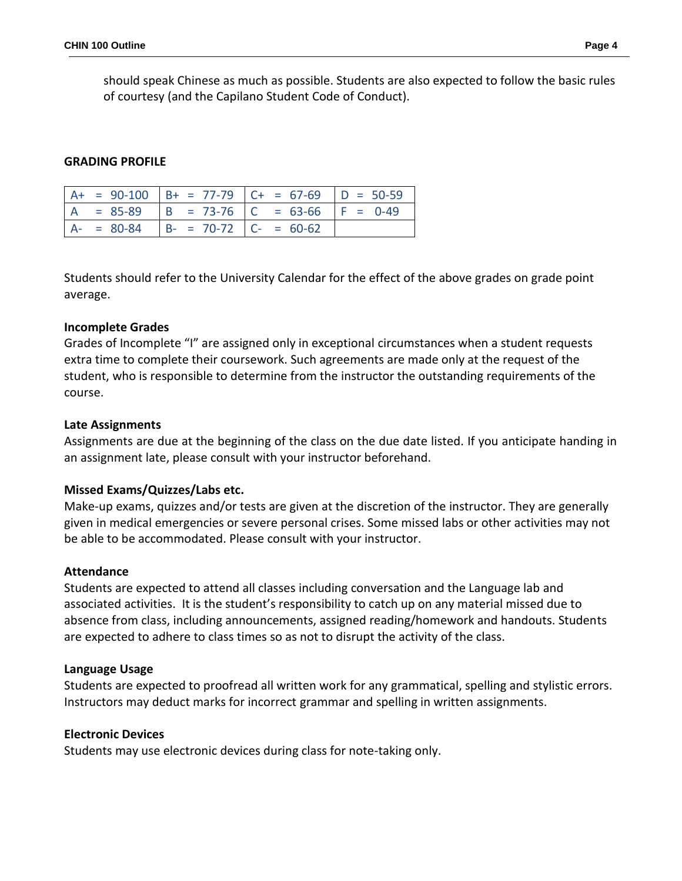should speak Chinese as much as possible. Students are also expected to follow the basic rules of courtesy (and the Capilano Student Code of Conduct).

### **GRADING PROFILE**

|  |                                        | $A+ = 90-100$ $B+ = 77-79$ $C+ = 67-69$ $D = 50-59$ |  |
|--|----------------------------------------|-----------------------------------------------------|--|
|  |                                        | $A = 85-89$ $B = 73-76$ $C = 63-66$ $F = 0-49$      |  |
|  | $A- = 80-84$ $B- = 70-72$ $C- = 60-62$ |                                                     |  |

Students should refer to the University Calendar for the effect of the above grades on grade point average.

### **Incomplete Grades**

Grades of Incomplete "I" are assigned only in exceptional circumstances when a student requests extra time to complete their coursework. Such agreements are made only at the request of the student, who is responsible to determine from the instructor the outstanding requirements of the course.

#### **Late Assignments**

Assignments are due at the beginning of the class on the due date listed. If you anticipate handing in an assignment late, please consult with your instructor beforehand.

### **Missed Exams/Quizzes/Labs etc.**

Make-up exams, quizzes and/or tests are given at the discretion of the instructor. They are generally given in medical emergencies or severe personal crises. Some missed labs or other activities may not be able to be accommodated. Please consult with your instructor.

#### **Attendance**

Students are expected to attend all classes including conversation and the Language lab and associated activities. It is the student's responsibility to catch up on any material missed due to absence from class, including announcements, assigned reading/homework and handouts. Students are expected to adhere to class times so as not to disrupt the activity of the class.

#### **Language Usage**

Students are expected to proofread all written work for any grammatical, spelling and stylistic errors. Instructors may deduct marks for incorrect grammar and spelling in written assignments.

#### **Electronic Devices**

Students may use electronic devices during class for note-taking only.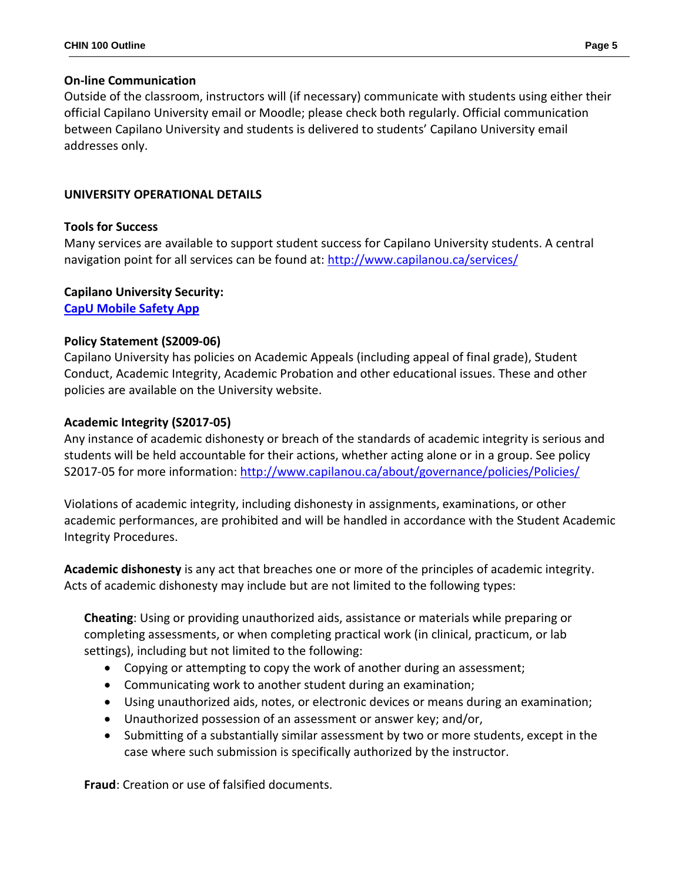# **On-line Communication**

Outside of the classroom, instructors will (if necessary) communicate with students using either their official Capilano University email or Moodle; please check both regularly. Official communication between Capilano University and students is delivered to students' Capilano University email addresses only.

# **UNIVERSITY OPERATIONAL DETAILS**

# **Tools for Success**

Many services are available to support student success for Capilano University students. A central navigation point for all services can be found at:<http://www.capilanou.ca/services/>

# **Capilano University Security:**

**[CapU Mobile Safety App](https://www.capilanou.ca/services/safety-security/CapU-Mobile-Safety-App/)**

# **Policy Statement (S2009-06)**

Capilano University has policies on Academic Appeals (including appeal of final grade), Student Conduct, Academic Integrity, Academic Probation and other educational issues. These and other policies are available on the University website.

# **Academic Integrity (S2017-05)**

Any instance of academic dishonesty or breach of the standards of academic integrity is serious and students will be held accountable for their actions, whether acting alone or in a group. See policy S2017-05 for more information: <http://www.capilanou.ca/about/governance/policies/Policies/>

Violations of academic integrity, including dishonesty in assignments, examinations, or other academic performances, are prohibited and will be handled in accordance with the Student Academic Integrity Procedures.

**Academic dishonesty** is any act that breaches one or more of the principles of academic integrity. Acts of academic dishonesty may include but are not limited to the following types:

**Cheating**: Using or providing unauthorized aids, assistance or materials while preparing or completing assessments, or when completing practical work (in clinical, practicum, or lab settings), including but not limited to the following:

- Copying or attempting to copy the work of another during an assessment;
- Communicating work to another student during an examination;
- Using unauthorized aids, notes, or electronic devices or means during an examination;
- Unauthorized possession of an assessment or answer key; and/or,
- Submitting of a substantially similar assessment by two or more students, except in the case where such submission is specifically authorized by the instructor.

**Fraud**: Creation or use of falsified documents.